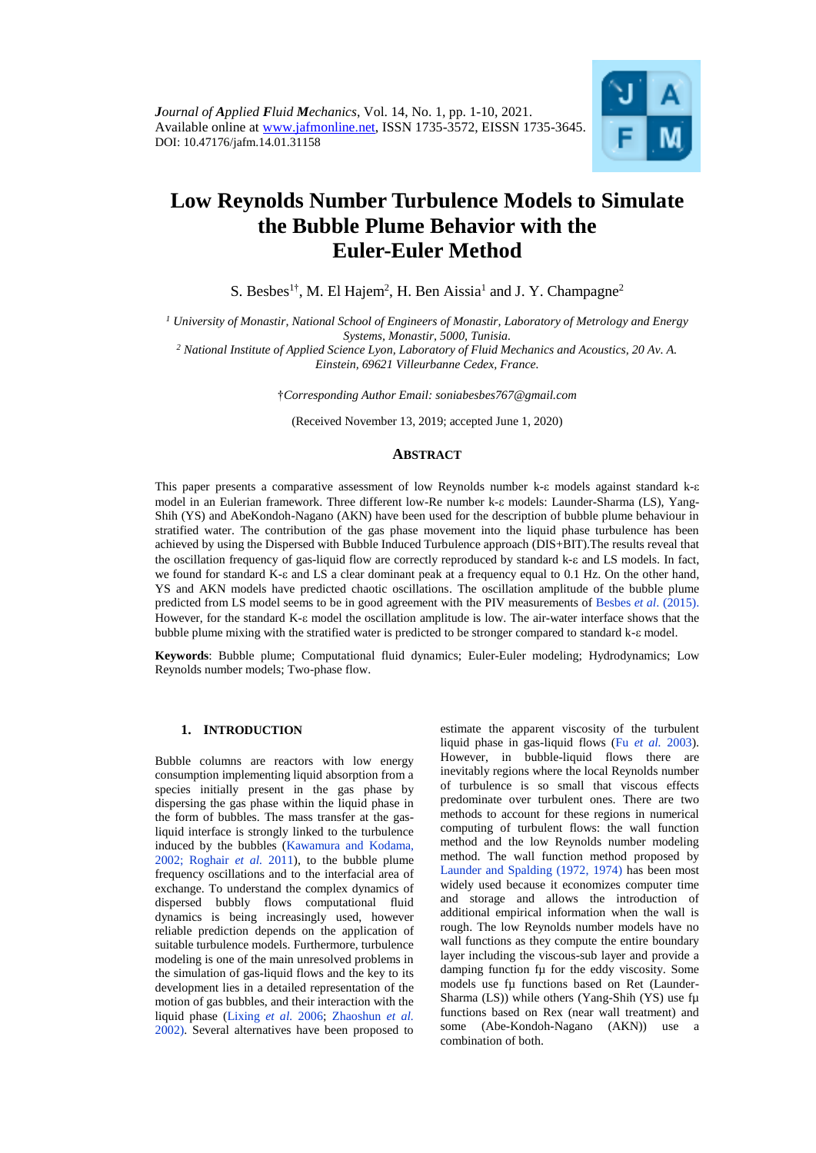

# **Low Reynolds Number Turbulence Models to Simulate the Bubble Plume Behavior with the Euler-Euler Method**

S. Besbes<sup>1†</sup>, M. El Hajem<sup>2</sup>, H. Ben Aissia<sup>1</sup> and J. Y. Champagne<sup>2</sup>

*<sup>1</sup> University of Monastir, National School of Engineers of Monastir, Laboratory of Metrology and Energy Systems, Monastir, 5000, Tunisia.*

*<sup>2</sup> National Institute of Applied Science Lyon, Laboratory of Fluid Mechanics and Acoustics, 20 Av. A. Einstein, 69621 Villeurbanne Cedex, France.*

†*Corresponding Author Email: soniabesbes767@gmail.com*

(Received November 13, 2019; accepted June 1, 2020)

# **ABSTRACT**

This paper presents a comparative assessment of low Reynolds number  $k-\varepsilon$  models against standard  $k-\varepsilon$ model in an Eulerian framework. Three different low-Re number k-& models: Launder-Sharma (LS), Yang-Shih (YS) and AbeKondoh-Nagano (AKN) have been used for the description of bubble plume behaviour in stratified water. The contribution of the gas phase movement into the liquid phase turbulence has been achieved by using the Dispersed with Bubble Induced Turbulence approach (DIS+BIT).The results reveal that the oscillation frequency of gas-liquid flow are correctly reproduced by standard k- $\varepsilon$  and LS models. In fact, we found for standard K- $\varepsilon$  and LS a clear dominant peak at a frequency equal to 0.1 Hz. On the other hand, YS and AKN models have predicted chaotic oscillations. The oscillation amplitude of the bubble plume predicted from LS model seems to be in good agreement with the PIV measurements of Besbes *et al*[. \(2015\).](#page-8-0) However, for the standard K- $\epsilon$  model the oscillation amplitude is low. The air-water interface shows that the bubble plume mixing with the stratified water is predicted to be stronger compared to standard k- $\varepsilon$  model.

**Keywords**: Bubble plume; Computational fluid dynamics; Euler-Euler modeling; Hydrodynamics; Low Reynolds number models; Two-phase flow.

# **1. INTRODUCTION**

Bubble columns are reactors with low energy consumption implementing liquid absorption from a species initially present in the gas phase by dispersing the gas phase within the liquid phase in the form of bubbles. The mass transfer at the gasliquid interface is strongly linked to the turbulence induced by the bubbles [\(Kawamura and Kodama,](#page-8-1)  [2002;](#page-8-1) [Roghair](#page-9-0) *et al.* 2011), to the bubble plume frequency oscillations and to the interfacial area of exchange. To understand the complex dynamics of dispersed bubbly flows computational fluid dynamics is being increasingly used, however reliable prediction depends on the application of suitable turbulence models. Furthermore, turbulence modeling is one of the main unresolved problems in the simulation of gas-liquid flows and the key to its development lies in a detailed representation of the motion of gas bubbles, and their interaction with the liquid phase [\(Lixing](#page-9-1) *et al.* 2006; [Zhaoshun](#page-9-2) *et al.* [2002\)](#page-9-2). Several alternatives have been proposed to

estimate the apparent viscosity of the turbulent liquid phase in gas-liquid flows (Fu *et al.* [2003\)](#page-8-2). However, in bubble-liquid flows there are inevitably regions where the local Reynolds number of turbulence is so small that viscous effects predominate over turbulent ones. There are two methods to account for these regions in numerical computing of turbulent flows: the wall function method and the low Reynolds number modeling method. The wall function method proposed by [Launder and Spalding \(1972, 1974\)](#page-9-3) has been most widely used because it economizes computer time and storage and allows the introduction of additional empirical information when the wall is rough. The low Reynolds number models have no wall functions as they compute the entire boundary layer including the viscous-sub layer and provide a damping function fu for the eddy viscosity. Some models use fu functions based on Ret (Launder-Sharma (LS)) while others (Yang-Shih (YS) use fu functions based on Rex (near wall treatment) and some (Abe-Kondoh-Nagano (AKN)) use a combination of both.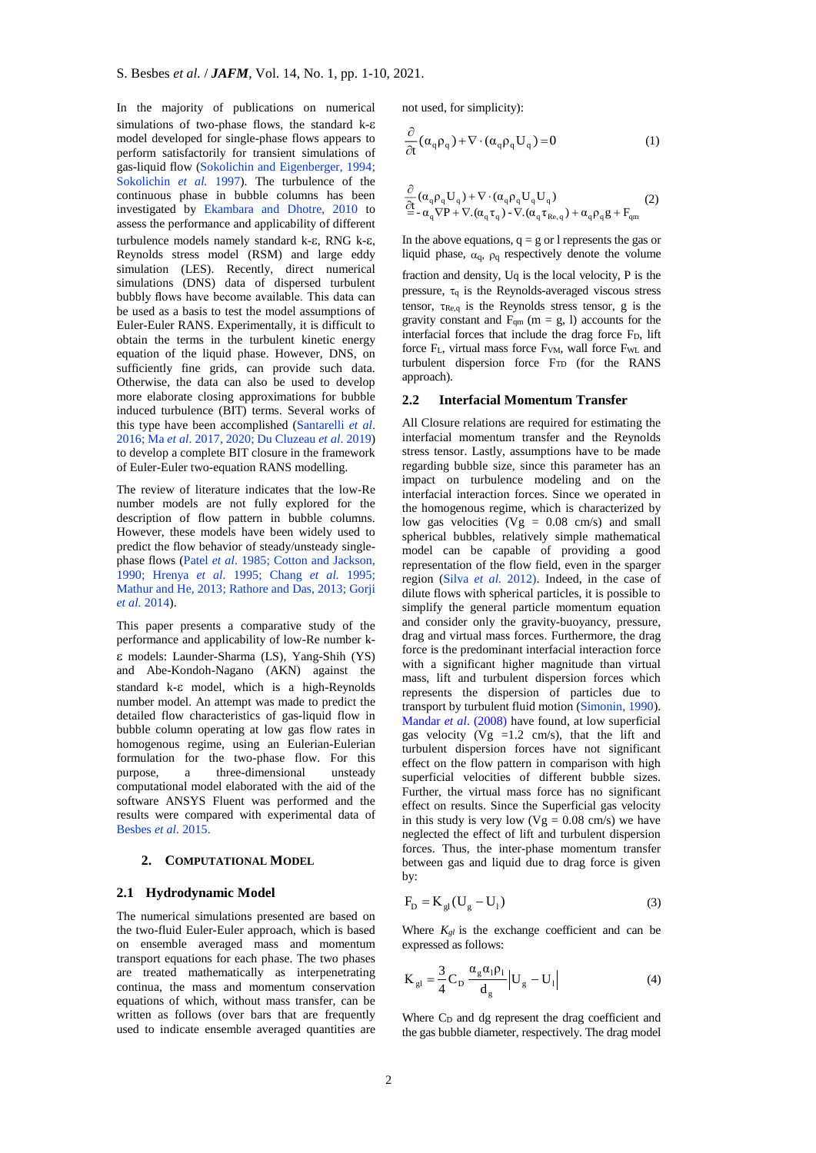In the majority of publications on numerical simulations of two-phase flows, the standard  $k$ - $\varepsilon$ model developed for single-phase flows appears to perform satisfactorily for transient simulations of gas-liquid flow [\(Sokolichin and Eigenberger, 1994;](#page-9-4) [Sokolichin](#page-9-4) *et al.* 1997). The turbulence of the continuous phase in bubble columns has been investigated by [Ekambara and Dhotre, 2010](#page-8-3) to assess the performance and applicability of different turbulence models namely standard  $k-\varepsilon$ , RNG  $k-\varepsilon$ , Reynolds stress model (RSM) and large eddy simulation (LES). Recently, direct numerical simulations (DNS) data of dispersed turbulent bubbly flows have become available. This data can be used as a basis to test the model assumptions of Euler-Euler RANS. Experimentally, it is difficult to obtain the terms in the turbulent kinetic energy equation of the liquid phase. However, DNS, on sufficiently fine grids, can provide such data. Otherwise, the data can also be used to develop more elaborate closing approximations for bubble induced turbulence (BIT) terms. Several works of this type have been accomplished [\(Santarelli](#page-9-5) *et al*. [2016;](#page-9-5) Ma *et al*[. 2017, 2020;](#page-9-6) [Du Cluzeau](#page-8-4) *et al*. 2019) to develop a complete BIT closure in the framework of Euler-Euler two-equation RANS modelling.

The review of literature indicates that the low-Re number models are not fully explored for the description of flow pattern in bubble columns. However, these models have been widely used to predict the flow behavior of steady/unsteady singlephase flows (Patel *et al*[. 1985;](#page-9-7) [Cotton and Jackson,](#page-8-5)  [1990;](#page-8-5) [Hrenya](#page-8-6) *et al*. 1995; [Chang](#page-8-7) *et al.* 1995; [Mathur and He, 2013;](#page-9-8) [Rathore and Das, 2013;](#page-9-9) [Gorji](#page-8-8)  *et al.* [2014\)](#page-8-8).

This paper presents a comparative study of the performance and applicability of low-Re number k models: Launder-Sharma (LS), Yang-Shih (YS) and Abe-Kondoh-Nagano (AKN) against the standard  $k-\epsilon$  model, which is a high-Reynolds number model. An attempt was made to predict the detailed flow characteristics of gas-liquid flow in bubble column operating at low gas flow rates in homogenous regime, using an Eulerian-Eulerian formulation for the two-phase flow. For this purpose, a three-dimensional unsteady computational model elaborated with the aid of the software ANSYS Fluent was performed and the results were compared with experimental data of [Besbes](#page-8-0) *et al*. 2015.

# **2. COMPUTATIONAL MODEL**

## **2.1 Hydrodynamic Model**

The numerical simulations presented are based on the two-fluid Euler-Euler approach, which is based on ensemble averaged mass and momentum transport equations for each phase. The two phases are treated mathematically as interpenetrating continua, the mass and momentum conservation equations of which, without mass transfer, can be written as follows (over bars that are frequently used to indicate ensemble averaged quantities are not used, for simplicity):

$$
\frac{\partial}{\partial t}(\alpha_q \rho_q) + \nabla \cdot (\alpha_q \rho_q U_q) = 0 \tag{1}
$$

$$
\begin{array}{l} \frac{\partial}{\partial t}(\alpha_{q}\rho_{q}U_{q})+\nabla\cdot(\alpha_{q}\rho_{q}U_{q}U_{q}) \\ \frac{\partial}{\partial t}-\alpha_{q}\nabla P+\nabla.(\alpha_{q}\tau_{q})-\nabla.(\alpha_{q}\tau_{Re,q})+\alpha_{q}\rho_{q}g+F_{qm} \end{array} \tag{2}
$$

In the above equations,  $q = g$  or l represents the gas or liquid phase,  $\alpha_q$ ,  $\rho_q$  respectively denote the volume

fraction and density, Uq is the local velocity, P is the pressure,  $\tau_q$  is the Reynolds-averaged viscous stress tensor,  $\tau_{\text{Re},q}$  is the Reynolds stress tensor, g is the gravity constant and  $F_{qm}$  (m = g, l) accounts for the interfacial forces that include the drag force  $F<sub>D</sub>$ , lift force F<sub>L</sub>, virtual mass force F<sub>VM</sub>, wall force F<sub>WL</sub> and turbulent dispersion force  $F_{TD}$  (for the RANS approach).

## **2.2 Interfacial Momentum Transfer**

All Closure relations are required for estimating the interfacial momentum transfer and the Reynolds stress tensor. Lastly, assumptions have to be made regarding bubble size, since this parameter has an impact on turbulence modeling and on the interfacial interaction forces. Since we operated in the homogenous regime, which is characterized by low gas velocities  $(Vg = 0.08 \text{ cm/s})$  and small spherical bubbles, relatively simple mathematical model can be capable of providing a good representation of the flow field, even in the sparger region [\(Silva](#page-9-10) *et al.* 2012). Indeed, in the case of dilute flows with spherical particles, it is possible to simplify the general particle momentum equation and consider only the gravity-buoyancy, pressure, drag and virtual mass forces. Furthermore, the drag force is the predominant interfacial interaction force with a significant higher magnitude than virtual mass, lift and turbulent dispersion forces which represents the dispersion of particles due to transport by turbulent fluid motion [\(Simonin, 1990\)](#page-9-11). Mandar *et al*[. \(2008\)](#page-9-12) have found, at low superficial gas velocity ( $Vg = 1.2$  cm/s), that the lift and turbulent dispersion forces have not significant effect on the flow pattern in comparison with high superficial velocities of different bubble sizes. Further, the virtual mass force has no significant effect on results. Since the Superficial gas velocity in this study is very low  $(Vg = 0.08 \text{ cm/s})$  we have neglected the effect of lift and turbulent dispersion forces. Thus, the inter-phase momentum transfer between gas and liquid due to drag force is given by:

$$
F_{\rm D} = K_{\rm gl} (U_{\rm g} - U_1) \tag{3}
$$

Where  $K_{gl}$  is the exchange coefficient and can be expressed as follows:

$$
K_{gl} = \frac{3}{4} C_D \frac{\alpha_g \alpha_l \rho_l}{d_g} |U_g - U_l|
$$
 (4)

Where C<sub>D</sub> and dg represent the drag coefficient and the gas bubble diameter, respectively. The drag model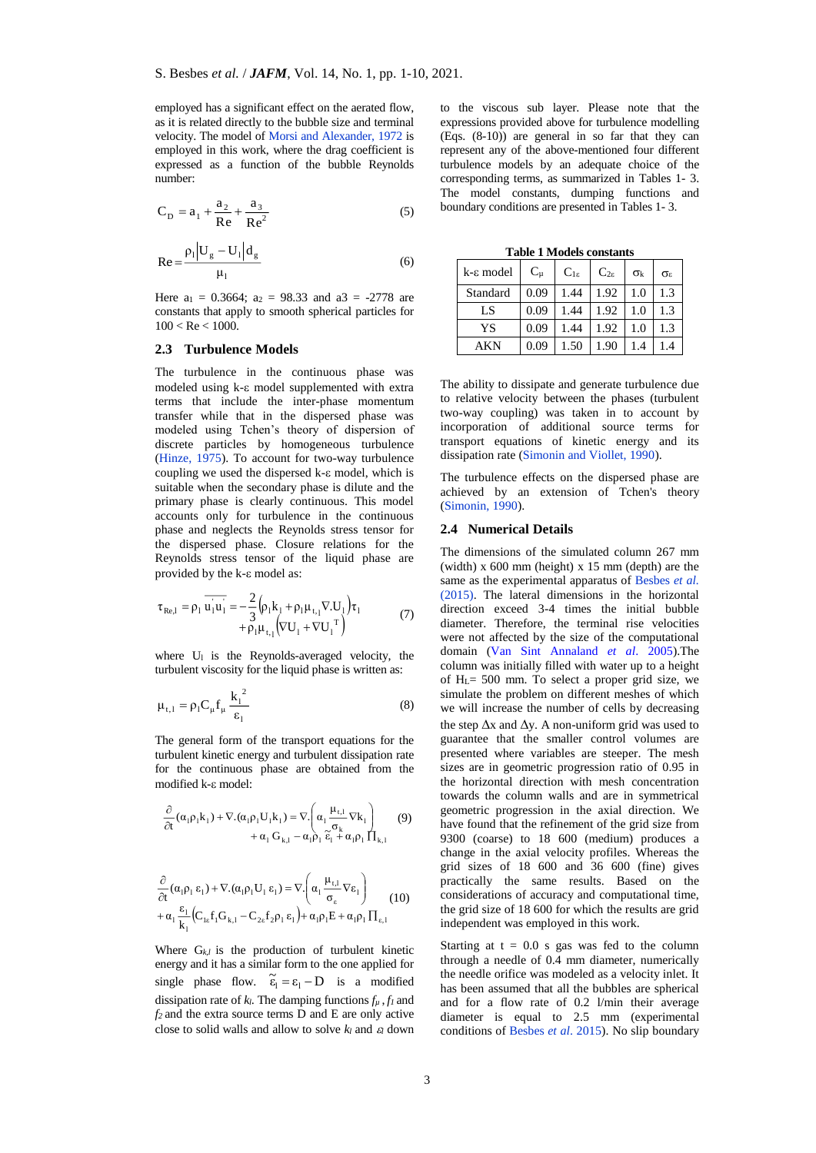employed has a significant effect on the aerated flow, as it is related directly to the bubble size and terminal velocity. The model of [Morsi and Alexander, 1972](#page-9-13) is employed in this work, where the drag coefficient is expressed as a function of the bubble Reynolds number:

$$
C_D = a_1 + \frac{a_2}{Re} + \frac{a_3}{Re^2}
$$
 (5)

$$
Re = \frac{\rho_1 |U_g - U_1| d_g}{\mu_1}
$$
 (6)

Here  $a_1 = 0.3664$ ;  $a_2 = 98.33$  and  $a_3 = -2778$  are constants that apply to smooth spherical particles for  $100 < Re < 1000$ .

## **2.3 Turbulence Models**

The turbulence in the continuous phase was modeled using  $k$ - $\varepsilon$  model supplemented with extra terms that include the inter-phase momentum transfer while that in the dispersed phase was modeled using Tchen's theory of dispersion of discrete particles by homogeneous turbulence [\(Hinze, 1975\)](#page-8-9). To account for two-way turbulence coupling we used the dispersed  $k$ - $\varepsilon$  model, which is suitable when the secondary phase is dilute and the primary phase is clearly continuous. This model accounts only for turbulence in the continuous phase and neglects the Reynolds stress tensor for the dispersed phase. Closure relations for the Reynolds stress tensor of the liquid phase are provided by the  $k$ - $\varepsilon$  model as:

$$
\tau_{\text{Re},l} = \rho_l \overrightarrow{u_l u_l} = -\frac{2}{3} \Big( \rho_l k_l + \rho_l \mu_{t_1} \nabla \cdot U_l \Big) \tau_l
$$
  
+  $\rho_l \mu_{t_1} \Big( \nabla U_l + \nabla U_l^T \Big)$  (7)

where  $U_1$  is the Reynolds-averaged velocity, the turbulent viscosity for the liquid phase is written as:

$$
\mu_{t,1} = \rho_1 C_\mu f_\mu \frac{k_1^2}{\epsilon_1}
$$
 (8)

The general form of the transport equations for the turbulent kinetic energy and turbulent dissipation rate for the continuous phase are obtained from the modified k-ε model:

$$
\frac{\partial}{\partial t}(\alpha_1 \rho_1 k_1) + \nabla \cdot (\alpha_1 \rho_1 U_1 k_1) = \nabla \cdot \left( \alpha_1 \frac{\mu_{t,1}}{\sigma_k} \nabla k_1 \right) + \alpha_1 G_{k,1} - \alpha_1 \rho_1 \tilde{\epsilon}_1 + \alpha_1 \rho_1 \prod_{k,1}
$$
\n(9)

$$
\frac{\partial}{\partial t}(\alpha_{1}\rho_{1}\epsilon_{1}) + \nabla \cdot (\alpha_{1}\rho_{1}U_{1}\epsilon_{1}) = \nabla \cdot \left(\alpha_{1} \frac{\mu_{t,l}}{\sigma_{\varepsilon}} \nabla \epsilon_{1}\right) \n+ \alpha_{1} \frac{\epsilon_{1}}{k_{1}} \left(C_{1\varepsilon} f_{1}G_{k,l} - C_{2\varepsilon} f_{2}\rho_{1}\epsilon_{1}\right) + \alpha_{1}\rho_{1}E + \alpha_{1}\rho_{1}\prod_{\varepsilon,1}
$$
\n(10)

Where  $G_{k,l}$  is the production of turbulent kinetic energy and it has a similar form to the one applied for single phase flow.  $\tilde{\epsilon}_1 = \epsilon_1 - D$  is a modified dissipation rate of  $k_l$ . The damping functions  $f_u$ ,  $f_l$  and *f<sup>2</sup>* and the extra source terms D and E are only active close to solid walls and allow to solve *k<sup>l</sup>* and *<sup>l</sup>* down

to the viscous sub layer. Please note that the expressions provided above for turbulence modelling  $(Eqs. (8-10))$  are general in so far that they can represent any of the above-mentioned four different turbulence models by an adequate choice of the corresponding terms, as summarized in Tables 1- 3. The model constants, dumping functions and boundary conditions are presented in Tables 1- 3.

**Table 1 Models constants**

| $k$ - $\varepsilon$ model | $C_{\rm u}$ | $C_{1\epsilon}$ | $C_{2\varepsilon}$ | $\sigma_{k}$ | $\sigma_{\epsilon}$ |
|---------------------------|-------------|-----------------|--------------------|--------------|---------------------|
| Standard                  | 0.09        | 1.44            | 1.92               | 1.0          | 1.3                 |
| LS                        | 0.09        | 1.44            | 1.92               | 1.0          | 1.3                 |
| YS                        | 0.09        | 1.44            | 1.92               | 1.0          | 1.3                 |
| AKN                       | 0.09        | 1.50            | 1.90               | 1.4          | 1.4                 |

The ability to dissipate and generate turbulence due to relative velocity between the phases (turbulent two-way coupling) was taken in to account by incorporation of additional source terms for transport equations of kinetic energy and its dissipation rate [\(Simonin and Viollet, 1990\)](#page-9-14).

The turbulence effects on the dispersed phase are achieved by an extension of Tchen's theory [\(Simonin, 1990\)](#page-9-11).

## **2.4 Numerical Details**

The dimensions of the simulated column 267 mm (width) x 600 mm (height) x 15 mm (depth) are the same as the experimental apparatus of [Besbes](#page-8-0) *et al.* [\(2015\).](#page-8-0) The lateral dimensions in the horizontal direction exceed 3-4 times the initial bubble diameter. Therefore, the terminal rise velocities were not affected by the size of the computational domain [\(Van Sint Annaland](#page-9-15) *et al*. 2005).The column was initially filled with water up to a height of  $H<sub>L</sub> = 500$  mm. To select a proper grid size, we simulate the problem on different meshes of which we will increase the number of cells by decreasing the step  $\Delta x$  and  $\Delta y$ . A non-uniform grid was used to guarantee that the smaller control volumes are presented where variables are steeper. The mesh sizes are in geometric progression ratio of 0.95 in the horizontal direction with mesh concentration towards the column walls and are in symmetrical geometric progression in the axial direction. We have found that the refinement of the grid size from 9300 (coarse) to 18 600 (medium) produces a change in the axial velocity profiles. Whereas the grid sizes of 18 600 and 36 600 (fine) gives practically the same results. Based on the considerations of accuracy and computational time, the grid size of 18 600 for which the results are grid independent was employed in this work.

Starting at  $t = 0.0$  s gas was fed to the column through a needle of 0.4 mm diameter, numerically the needle orifice was modeled as a velocity inlet. It has been assumed that all the bubbles are spherical and for a flow rate of 0.2 l/min their average diameter is equal to 2.5 mm (experimental conditions of [Besbes](#page-8-0) *et al*. 2015). No slip boundary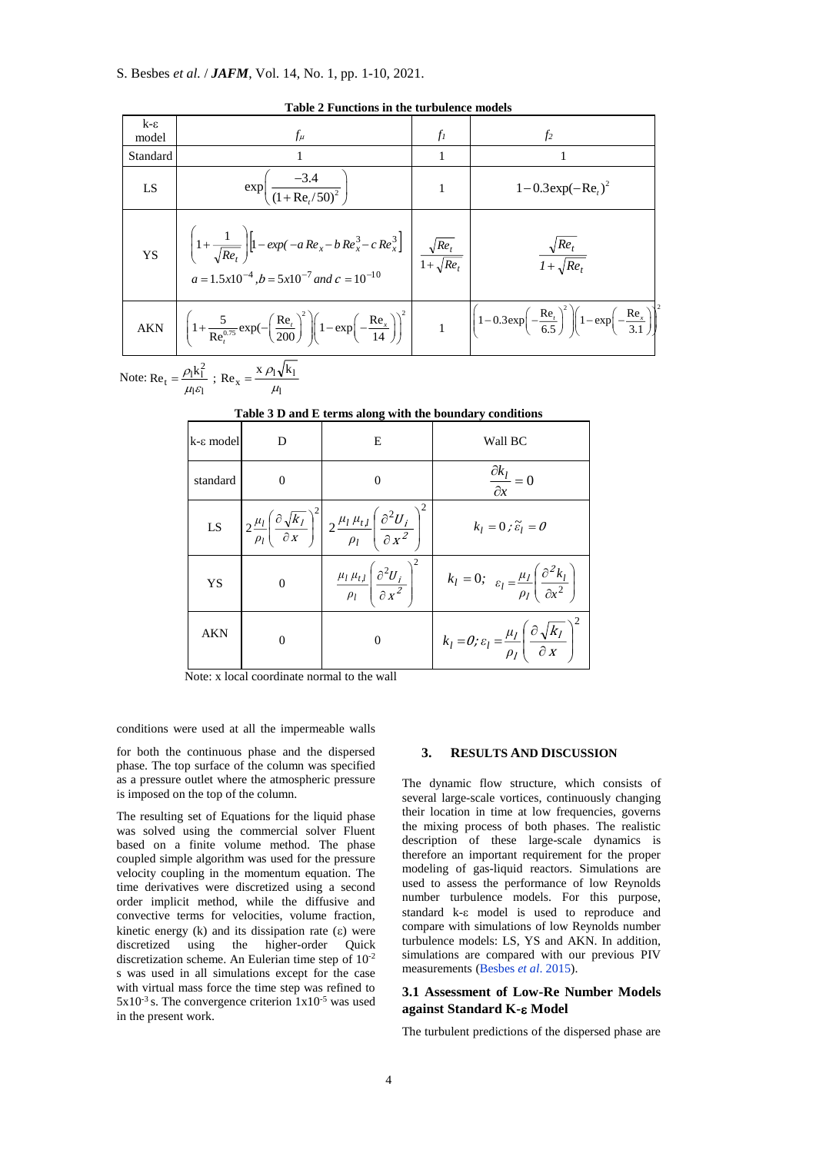# S. Besbes *et al.* / *JAFM*, Vol. 14, No. 1, pp. 1-10, 2021.

| $k - \varepsilon$<br>model | $f_\mu$                                                                                                                                                                                                                                                                                                    | $f_I$        | f <sub>2</sub>                        |
|----------------------------|------------------------------------------------------------------------------------------------------------------------------------------------------------------------------------------------------------------------------------------------------------------------------------------------------------|--------------|---------------------------------------|
| Standard                   |                                                                                                                                                                                                                                                                                                            |              |                                       |
| LS                         | $\exp\left(\frac{-3.4}{(1+Re_{t}/50)^{2}}\right)$                                                                                                                                                                                                                                                          | $\mathbf{1}$ | $1 - 0.3 \exp(-Re_{i})^{2}$           |
|                            | YS<br>$\begin{array}{c c}\n\left(1 + \frac{1}{\sqrt{Re_t}}\right) \left[1 - exp(-a Re_x - b Re_x^3 - c Re_x^3)\right] & \frac{\sqrt{Re_t}}{1 + \sqrt{Re_t}} \\ a = 1.5x10^{-4}, b = 5x10^{-7} \text{ and } c = 10^{-10}\n\end{array}$                                                                      |              | $\frac{\sqrt{Re_t}}{1 + \sqrt{Re_t}}$ |
|                            | AKN $\left[1+\frac{5}{\text{Re}_t^{0.75}}\exp\left(-\left(\frac{\text{Re}_t}{200}\right)^2\right)\left(1-\exp\left(-\frac{\text{Re}_x}{14}\right)\right)^2\right]$ $1\left[\left(1-0.3\exp\left(-\frac{\text{Re}_t}{6.5}\right)^2\right)\left(1-\exp\left(-\frac{\text{Re}_x}{3.1}\right)\right)^2\right]$ |              |                                       |

**Table 2 Functions in the turbulence models**

Note:  $Re_t = \frac{\rho_1 k_1^2}{\rho_1 k_1^2}$ ;  $\mathsf{I}^{\varepsilon} \mathsf{I}$  $t = \frac{\rho_1 k_1^2}{\mu_1 \varepsilon_1}$  $=\frac{\rho_1\kappa_1}{\mu_1\epsilon_1}$ ; Re<sub>x</sub> =  $\frac{\kappa \rho_1}{\mu_1}$  $\mathbf{x} = \frac{\mathbf{A} \mathbf{P} \mathbf{I} \mathbf{V} \mathbf{A} \mathbf{I}}{P}$  $Re_x = \frac{x \rho_1 \sqrt{k}}{2}$  $\mu$  $=\frac{x\rho}{\sqrt{2}}$ 

**Table 3 D and E terms along with the boundary conditions**

| k-ε model  | D        | E                                                                                                                                                                           | Wall BC                                                                                                  |  |
|------------|----------|-----------------------------------------------------------------------------------------------------------------------------------------------------------------------------|----------------------------------------------------------------------------------------------------------|--|
| standard   | $\Omega$ | $\Omega$                                                                                                                                                                    | $\frac{\partial k_l}{\partial x} = 0$                                                                    |  |
|            |          | LS $\left[2\frac{\mu_l}{\rho_l}\left(\frac{\partial\sqrt{k_I}}{\partial x}\right)^2\right]2\frac{\mu_l\mu_{l,l}}{\rho_l}\left(\frac{\partial^2 U_i}{\partial x^2}\right)^2$ | $k_l = 0$ ; $\tilde{\varepsilon}_l = 0$                                                                  |  |
| YS         | $\theta$ | $\frac{\mu_l \mu_{t,l}}{\rho_l} \left( \frac{\partial^2 U_i}{\partial x^2} \right)^2$                                                                                       | $k_l = 0; \quad \varepsilon_l = \frac{\mu_l}{\rho_l} \left( \frac{\partial^2 k_l}{\partial x^2} \right)$ |  |
| <b>AKN</b> | $\Omega$ | $\Omega$                                                                                                                                                                    | $k_l = 0; \varepsilon_l = \frac{\mu_l}{\rho_l} \left( \frac{\partial \sqrt{k_l}}{\partial x} \right)^2$  |  |

Note: x local coordinate normal to the wall

conditions were used at all the impermeable walls

for both the continuous phase and the dispersed phase. The top surface of the column was specified as a pressure outlet where the atmospheric pressure is imposed on the top of the column.

The resulting set of Equations for the liquid phase was solved using the commercial solver Fluent based on a finite volume method. The phase coupled simple algorithm was used for the pressure velocity coupling in the momentum equation. The time derivatives were discretized using a second order implicit method, while the diffusive and convective terms for velocities, volume fraction, kinetic energy (k) and its dissipation rate  $(\epsilon)$  were discretized using the higher-order Quick discretization scheme. An Eulerian time step of 10-2 s was used in all simulations except for the case with virtual mass force the time step was refined to  $5x10^{-3}$  s. The convergence criterion  $1x10^{-5}$  was used in the present work.

## **3. RESULTS AND DISCUSSION**

The dynamic flow structure, which consists of several large-scale vortices, continuously changing their location in time at low frequencies, governs the mixing process of both phases. The realistic description of these large-scale dynamics is therefore an important requirement for the proper modeling of gas-liquid reactors. Simulations are used to assess the performance of low Reynolds number turbulence models. For this purpose, standard k- $\varepsilon$  model is used to reproduce and compare with simulations of low Reynolds number turbulence models: LS, YS and AKN. In addition, simulations are compared with our previous PIV measurements [\(Besbes](#page-8-0) *et al*. 2015).

# **3.1 Assessment of Low-Re Number Models against Standard K-& Model**

The turbulent predictions of the dispersed phase are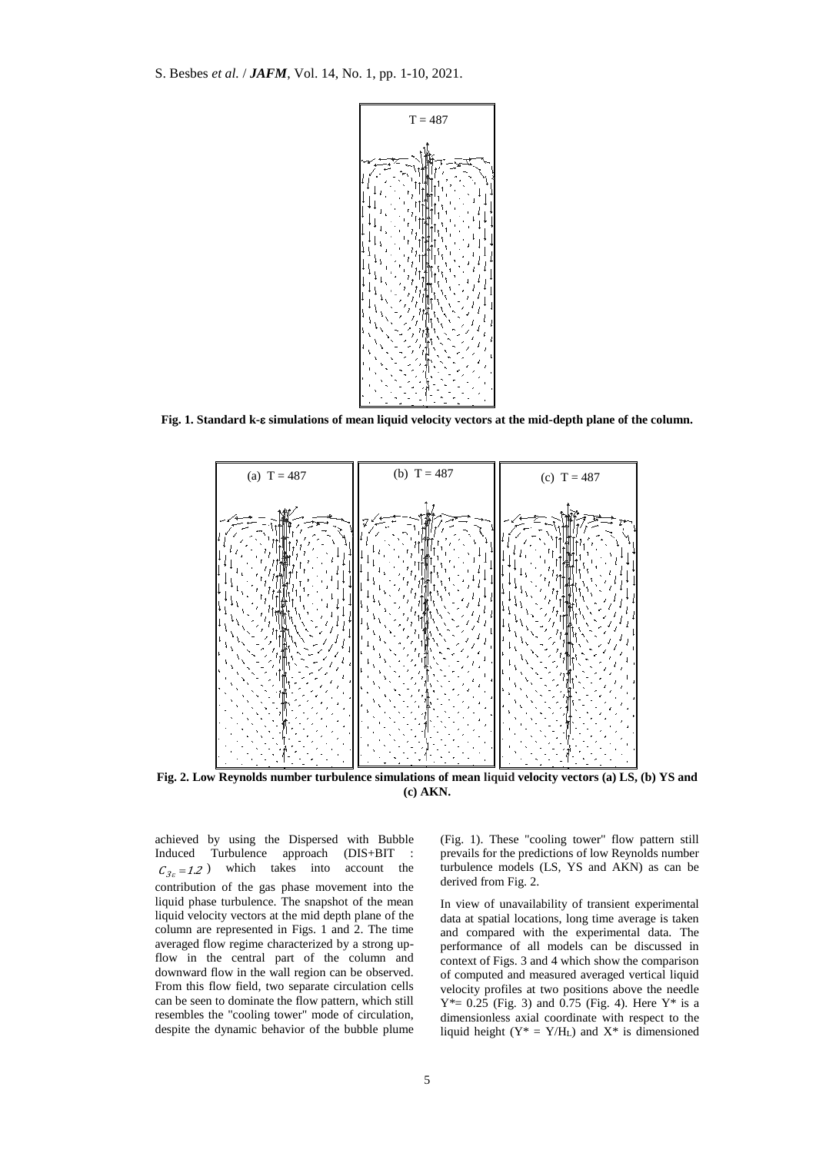

**Fig. 1. Standard k- simulations of mean liquid velocity vectors at the mid-depth plane of the column.**



**Fig. 2. Low Reynolds number turbulence simulations of mean liquid velocity vectors (a) LS, (b) YS and (c) AKN.**

achieved by using the Dispersed with Bubble Induced Turbulence approach (DIS+BIT :  $C_{3\varepsilon} = 1.2$ ) which takes into account the contribution of the gas phase movement into the liquid phase turbulence. The snapshot of the mean liquid velocity vectors at the mid depth plane of the column are represented in Figs. 1 and 2. The time averaged flow regime characterized by a strong upflow in the central part of the column and downward flow in the wall region can be observed. From this flow field, two separate circulation cells can be seen to dominate the flow pattern, which still resembles the "cooling tower" mode of circulation, despite the dynamic behavior of the bubble plume (Fig. 1). These "cooling tower" flow pattern still prevails for the predictions of low Reynolds number turbulence models (LS, YS and AKN) as can be derived from Fig. 2.

In view of unavailability of transient experimental data at spatial locations, long time average is taken and compared with the experimental data. The performance of all models can be discussed in context of Figs. 3 and 4 which show the comparison of computed and measured averaged vertical liquid velocity profiles at two positions above the needle  $Y^* = 0.25$  (Fig. 3) and 0.75 (Fig. 4). Here  $Y^*$  is a dimensionless axial coordinate with respect to the liquid height ( $Y^* = Y/H_L$ ) and  $X^*$  is dimensioned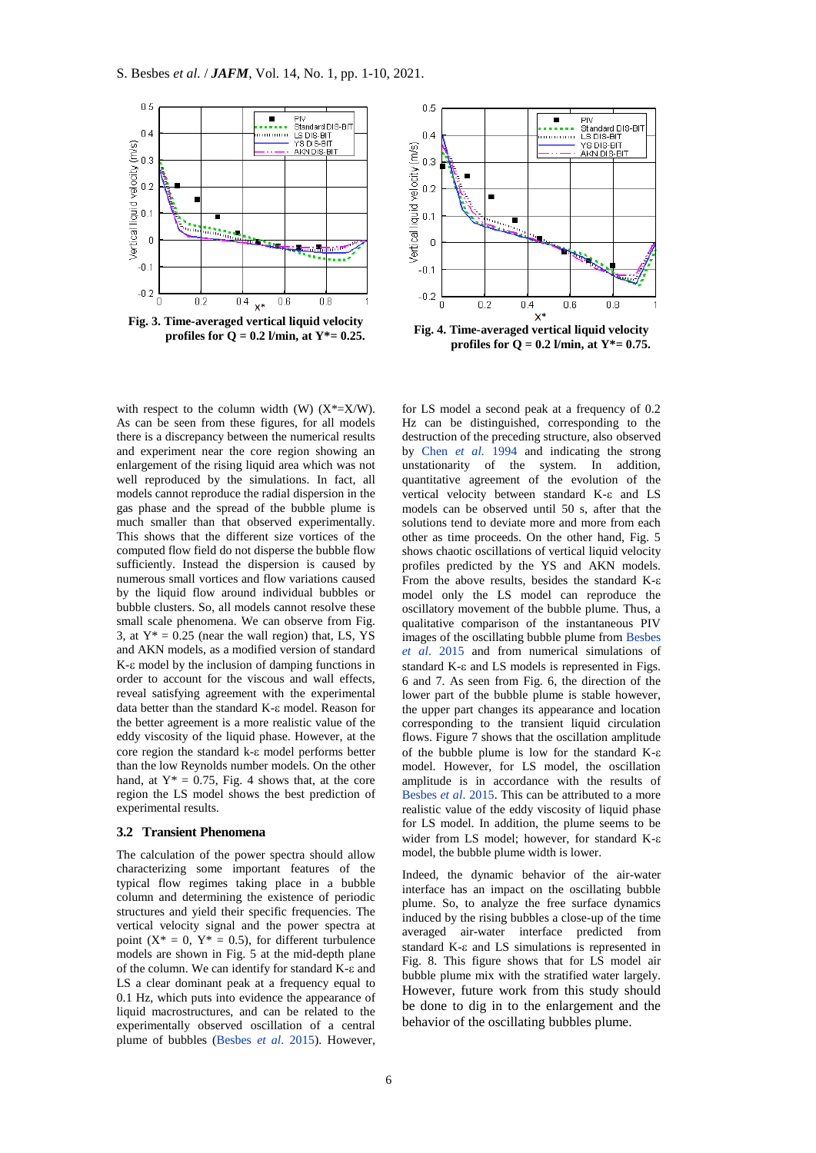



with respect to the column width (W)  $(X^* = X/W)$ . As can be seen from these figures, for all models there is a discrepancy between the numerical results and experiment near the core region showing an enlargement of the rising liquid area which was not well reproduced by the simulations. In fact, all models cannot reproduce the radial dispersion in the gas phase and the spread of the bubble plume is much smaller than that observed experimentally. This shows that the different size vortices of the computed flow field do not disperse the bubble flow sufficiently. Instead the dispersion is caused by numerous small vortices and flow variations caused by the liquid flow around individual bubbles or bubble clusters. So, all models cannot resolve these small scale phenomena. We can observe from Fig. 3, at  $Y^* = 0.25$  (near the wall region) that, LS, YS and AKN models, as a modified version of standard  $K$ - $\varepsilon$  model by the inclusion of damping functions in order to account for the viscous and wall effects, reveal satisfying agreement with the experimental data better than the standard  $K$ - $\varepsilon$  model. Reason for the better agreement is a more realistic value of the eddy viscosity of the liquid phase. However, at the core region the standard  $k$ - $\varepsilon$  model performs better than the low Reynolds number models. On the other hand, at  $Y^* = 0.75$ , Fig. 4 shows that, at the core region the LS model shows the best prediction of experimental results.

#### **3.2 Transient Phenomena**

The calculation of the power spectra should allow characterizing some important features of the typical flow regimes taking place in a bubble column and determining the existence of periodic structures and yield their specific frequencies. The vertical velocity signal and the power spectra at point  $(X^* = 0, Y^* = 0.5)$ , for different turbulence models are shown in Fig. 5 at the mid-depth plane of the column. We can identify for standard  $K$ - $\varepsilon$  and LS a clear dominant peak at a frequency equal to 0.1 Hz, which puts into evidence the appearance of liquid macrostructures, and can be related to the experimentally observed oscillation of a central plume of bubbles [\(Besbes](#page-8-0) *et al*. 2015). However, for LS model a second peak at a frequency of 0.2 Hz can be distinguished, corresponding to the destruction of the preceding structure, also observed by [Chen](#page-8-10) *et al.* 1994 and indicating the strong unstationarity of the system. In addition, quantitative agreement of the evolution of the vertical velocity between standard K-& and LS models can be observed until 50 s, after that the solutions tend to deviate more and more from each other as time proceeds. On the other hand, Fig. 5 shows chaotic oscillations of vertical liquid velocity profiles predicted by the YS and AKN models. From the above results, besides the standard K model only the LS model can reproduce the oscillatory movement of the bubble plume. Thus, a qualitative comparison of the instantaneous PIV images of the oscillating bubble plume fro[m Besbes](#page-8-0)  *[et al](#page-8-0)*. 2015 and from numerical simulations of standard  $K$ - $\varepsilon$  and  $LS$  models is represented in Figs. 6 and 7. As seen from Fig. 6, the direction of the lower part of the bubble plume is stable however, the upper part changes its appearance and location corresponding to the transient liquid circulation flows. Figure 7 shows that the oscillation amplitude of the bubble plume is low for the standard  $K-\varepsilon$ model. However, for LS model, the oscillation amplitude is in accordance with the results of [Besbes](#page-8-0) *et al*. 2015. This can be attributed to a more realistic value of the eddy viscosity of liquid phase for LS model. In addition, the plume seems to be wider from LS model: however, for standard K- $\varepsilon$ model, the bubble plume width is lower.

Indeed, the dynamic behavior of the air-water interface has an impact on the oscillating bubble plume. So, to analyze the free surface dynamics induced by the rising bubbles a close-up of the time averaged air-water interface predicted from standard  $K$ - $\varepsilon$  and  $LS$  simulations is represented in Fig. 8. This figure shows that for LS model air bubble plume mix with the stratified water largely. However, future work from this study should be done to dig in to the enlargement and the behavior of the oscillating bubbles plume.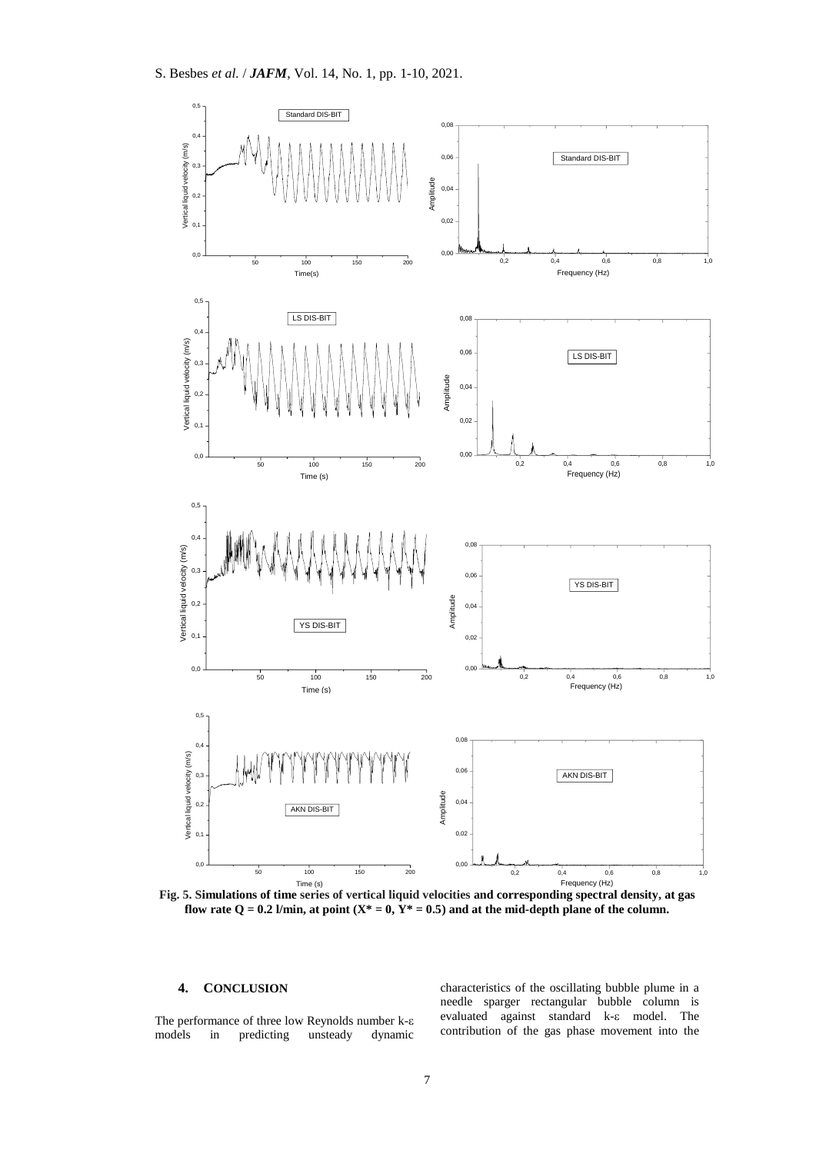

flow rate  $Q = 0.2$  l/min, at point  $(X^* = 0, Y^* = 0.5)$  and at the mid-depth plane of the column.

# **4. CONCLUSION**

The performance of three low Reynolds number k models in predicting unsteady dynamic characteristics of the oscillating bubble plume in a needle sparger rectangular bubble column is evaluated against standard k- $\varepsilon$  model. The contribution of the gas phase movement into the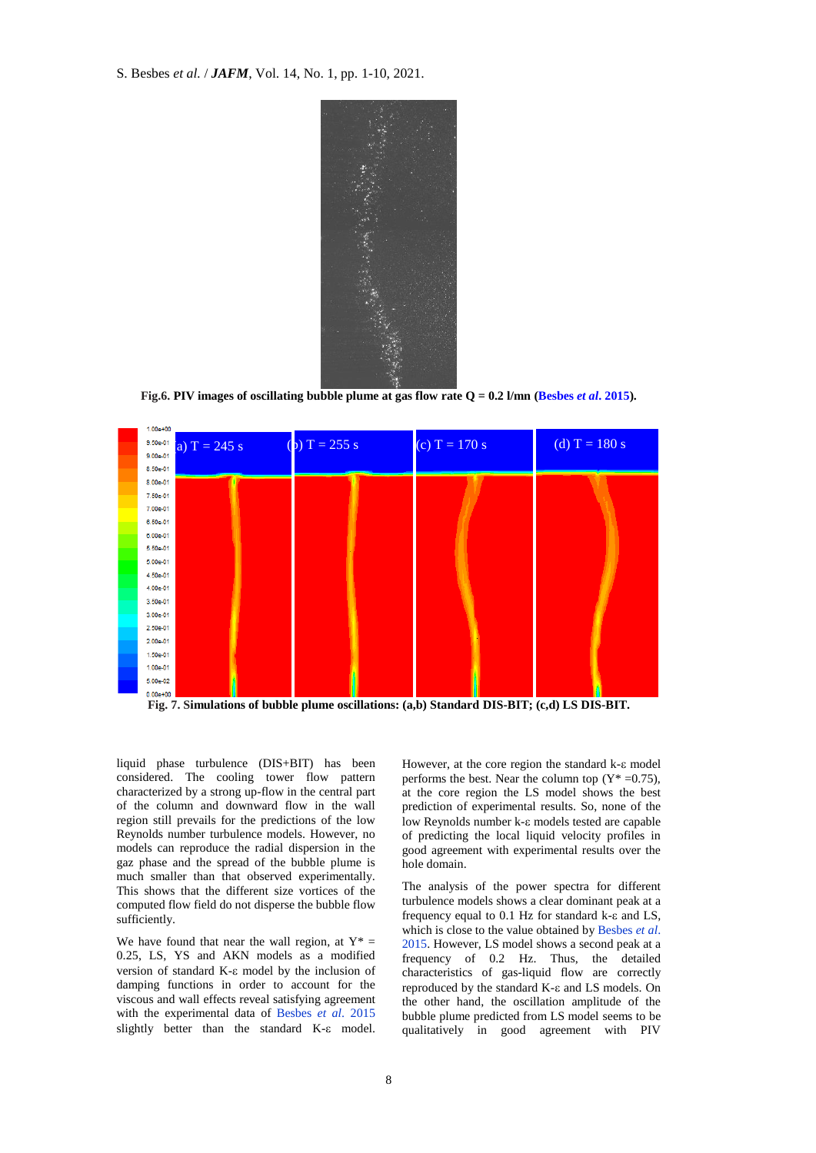

**Fig.6. PIV images of oscillating bubble plume at gas flow rate Q = 0.2 l/mn [\(Besbes](#page-8-0)** *et al***. 2015).**



**Fig. 7. Simulations of bubble plume oscillations: (a,b) Standard DIS-BIT; (c,d) LS DIS-BIT.**

liquid phase turbulence (DIS+BIT) has been considered. The cooling tower flow pattern characterized by a strong up-flow in the central part of the column and downward flow in the wall region still prevails for the predictions of the low Reynolds number turbulence models. However, no models can reproduce the radial dispersion in the gaz phase and the spread of the bubble plume is much smaller than that observed experimentally. This shows that the different size vortices of the computed flow field do not disperse the bubble flow sufficiently.

We have found that near the wall region, at  $Y^* =$ 0.25, LS, YS and AKN models as a modified version of standard  $K$ - $\varepsilon$  model by the inclusion of damping functions in order to account for the viscous and wall effects reveal satisfying agreement with the experimental data of [Besbes](#page-8-0) *et al*. 2015 slightly better than the standard K- $\varepsilon$  model. However, at the core region the standard  $k-\epsilon$  model performs the best. Near the column top  $(Y^* = 0.75)$ , at the core region the LS model shows the best prediction of experimental results. So, none of the low Reynolds number  $k$ - $\varepsilon$  models tested are capable of predicting the local liquid velocity profiles in good agreement with experimental results over the hole domain.

The analysis of the power spectra for different turbulence models shows a clear dominant peak at a frequency equal to  $0.1$  Hz for standard k- $\varepsilon$  and LS, which is close to the value obtained b[y Besbes](#page-8-0) *et al*. [2015.](#page-8-0) However, LS model shows a second peak at a frequency of 0.2 Hz. Thus, the detailed characteristics of gas-liquid flow are correctly reproduced by the standard K- $\varepsilon$  and LS models. On the other hand, the oscillation amplitude of the bubble plume predicted from LS model seems to be qualitatively in good agreement with PIV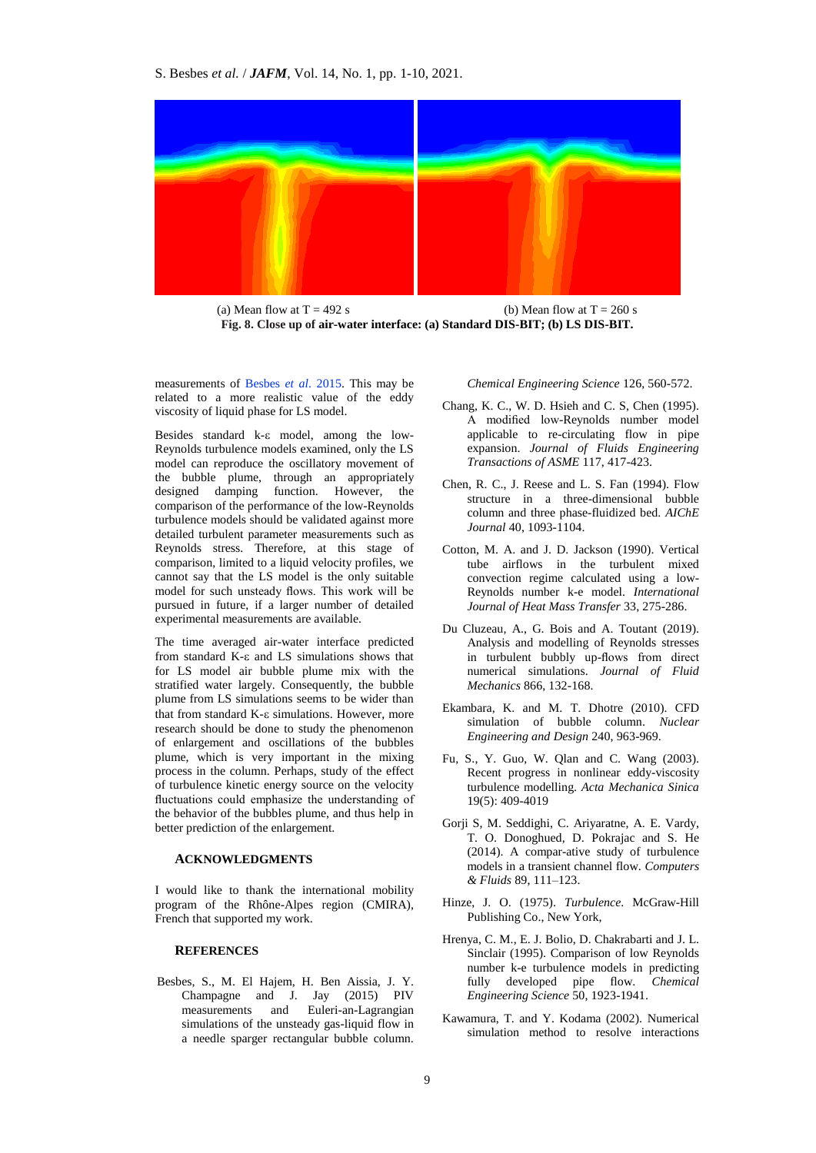

(a) Mean flow at  $T = 492$  s (b) Mean flow at  $T = 260$  s **Fig. 8. Close up of air-water interface: (a) Standard DIS-BIT; (b) LS DIS-BIT.**

measurements of [Besbes](#page-8-0) *et al*. 2015. This may be related to a more realistic value of the eddy viscosity of liquid phase for LS model.

Besides standard  $k-\varepsilon$  model, among the low-Reynolds turbulence models examined, only the LS model can reproduce the oscillatory movement of the bubble plume, through an appropriately designed damping function. However, the comparison of the performance of the low-Reynolds turbulence models should be validated against more detailed turbulent parameter measurements such as Reynolds stress. Therefore, at this stage of comparison, limited to a liquid velocity profiles, we cannot say that the LS model is the only suitable model for such unsteady flows. This work will be pursued in future, if a larger number of detailed experimental measurements are available.

The time averaged air-water interface predicted from standard K- $\varepsilon$  and LS simulations shows that for LS model air bubble plume mix with the stratified water largely. Consequently, the bubble plume from LS simulations seems to be wider than that from standard  $K-\epsilon$  simulations. However, more research should be done to study the phenomenon of enlargement and oscillations of the bubbles plume, which is very important in the mixing process in the column. Perhaps, study of the effect of turbulence kinetic energy source on the velocity fluctuations could emphasize the understanding of the behavior of the bubbles plume, and thus help in better prediction of the enlargement.

## **ACKNOWLEDGMENTS**

I would like to thank the international mobility program of the Rhône-Alpes region (CMIRA), French that supported my work.

## **REFERENCES**

<span id="page-8-0"></span>Besbes, S., M. El Hajem, H. Ben Aissia, J. Y. Champagne and J. Jay (2015) PIV measurements and Euleri-an-Lagrangian simulations of the unsteady gas-liquid flow in a needle sparger rectangular bubble column. *Chemical Engineering Science* 126, 560-572.

- <span id="page-8-7"></span>Chang, K. C., W. D. Hsieh and C. S, Chen (1995). A modified low-Reynolds number model applicable to re-circulating flow in pipe expansion. *Journal of Fluids Engineering Transactions of ASME* 117, 417-423.
- <span id="page-8-10"></span>Chen, R. C., J. Reese and L. S. Fan (1994). Flow structure in a three-dimensional bubble column and three phase-fluidized bed. *AIChE Journal* 40, 1093-1104.
- <span id="page-8-5"></span>Cotton, M. A. and J. D. Jackson (1990). Vertical tube airflows in the turbulent mixed convection regime calculated using a low-Reynolds number k-e model. *International Journal of Heat Mass Transfer* 33, 275-286.
- <span id="page-8-4"></span>Du Cluzeau, A., G. Bois and A. Toutant (2019). Analysis and modelling of Reynolds stresses in turbulent bubbly up-flows from direct numerical simulations. *Journal of Fluid Mechanics* 866, 132-168.
- <span id="page-8-3"></span>Ekambara, K. and M. T. Dhotre (2010). CFD simulation of bubble column. *Nuclear Engineering and Design* 240, 963-969.
- <span id="page-8-2"></span>Fu, S., Y. Guo, W. Qlan and C. Wang (2003). Recent progress in nonlinear eddy-viscosity turbulence modelling. *Acta Mechanica Sinica* 19(5): 409-4019
- <span id="page-8-8"></span>Gorji S, M. Seddighi, C. Ariyaratne, A. E. Vardy, T. O. Donoghued, D. Pokrajac and S. He (2014). A compar-ative study of turbulence models in a transient channel flow. *Computers & Fluids* 89, 111–123.
- <span id="page-8-9"></span>Hinze, J. O. (1975). *Turbulence*. McGraw-Hill Publishing Co., New York,
- <span id="page-8-6"></span>Hrenya, C. M., E. J. Bolio, D. Chakrabarti and J. L. Sinclair (1995). Comparison of low Reynolds number k-e turbulence models in predicting fully developed pipe flow. *Chemical Engineering Science* 50, 1923-1941.
- <span id="page-8-1"></span>Kawamura, T. and Y. Kodama (2002). Numerical simulation method to resolve interactions